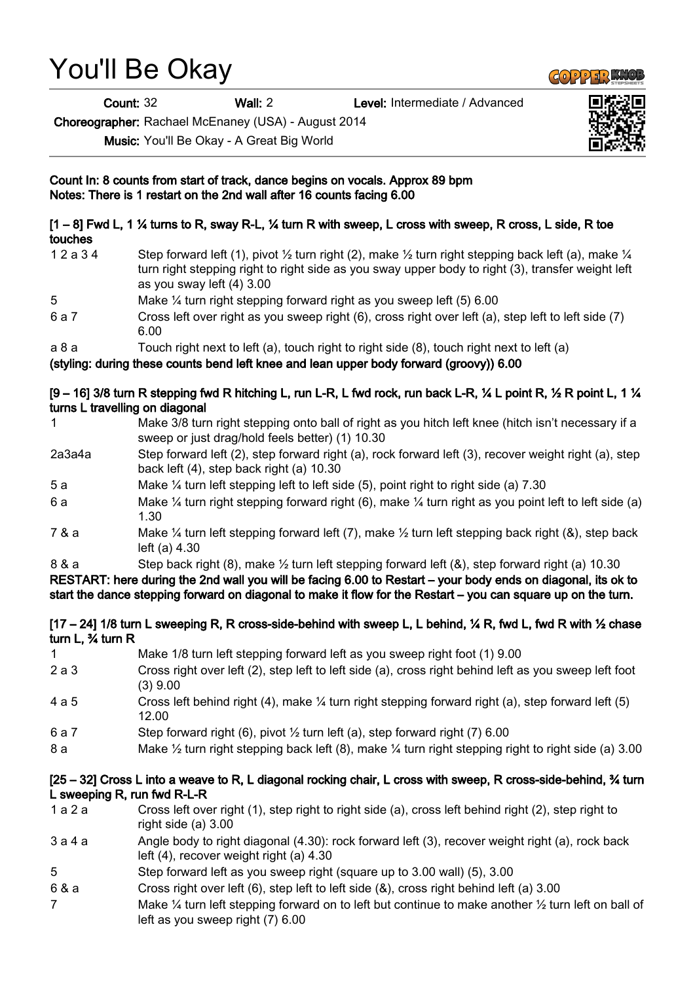# You'll Be Okay

Count: 32 Wall: 2 Level: Intermediate / Advanced

Choreographer: Rachael McEnaney (USA) - August 2014

Music: You'll Be Okay - A Great Big World



## [1 – 8] Fwd L, 1 ¼ turns to R, sway R-L, ¼ turn R with sweep, L cross with sweep, R cross, L side, R toe touches

- 1 2 a 3 4 Step forward left (1), pivot  $\frac{1}{2}$  turn right (2), make  $\frac{1}{2}$  turn right stepping back left (a), make  $\frac{1}{4}$ turn right stepping right to right side as you sway upper body to right (3), transfer weight left as you sway left (4) 3.00
- 5 Make ¼ turn right stepping forward right as you sweep left (5) 6.00
- 6 a 7 Cross left over right as you sweep right (6), cross right over left (a), step left to left side (7) 6.00
- a 8 a Touch right next to left (a), touch right to right side (8), touch right next to left (a)

(styling: during these counts bend left knee and lean upper body forward (groovy)) 6.00

### $[9 - 16]$  3/8 turn R stepping fwd R hitching L, run L-R, L fwd rock, run back L-R,  $\frac{1}{4}$  L point R,  $\frac{1}{2}$  R point L, 1  $\frac{1}{4}$ turns L travelling on diagonal

- 1 Make 3/8 turn right stepping onto ball of right as you hitch left knee (hitch isn't necessary if a sweep or just drag/hold feels better) (1) 10.30
- 2a3a4a Step forward left (2), step forward right (a), rock forward left (3), recover weight right (a), step back left (4), step back right (a) 10.30
- 5 a Make ¼ turn left stepping left to left side (5), point right to right side (a) 7.30
- 6 a Make ¼ turn right stepping forward right (6), make ¼ turn right as you point left to left side (a) 1.30
- 7 & a Make ¼ turn left stepping forward left (7), make ½ turn left stepping back right (&), step back left (a) 4.30
- 8 & a Step back right (8), make ½ turn left stepping forward left (&), step forward right (a) 10.30

RESTART: here during the 2nd wall you will be facing 6.00 to Restart – your body ends on diagonal, its ok to start the dance stepping forward on diagonal to make it flow for the Restart – you can square up on the turn.

#### [17 – 24] 1/8 turn L sweeping R, R cross-side-behind with sweep L, L behind, ¼ R, fwd L, fwd R with ½ chase turn L, ¾ turn R

- 1 Make 1/8 turn left stepping forward left as you sweep right foot (1) 9.00
- 2 a 3 Cross right over left (2), step left to left side (a), cross right behind left as you sweep left foot (3) 9.00
- 4 a 5 Cross left behind right (4), make ¼ turn right stepping forward right (a), step forward left (5) 12.00
- 6 a 7 Step forward right (6), pivot ½ turn left (a), step forward right (7) 6.00
- 8 a Make ½ turn right stepping back left (8), make ¼ turn right stepping right to right side (a) 3.00

### [25 – 32] Cross L into a weave to R, L diagonal rocking chair, L cross with sweep, R cross-side-behind, ¾ turn L sweeping R, run fwd R-L-R

- 1 a 2 a Cross left over right (1), step right to right side (a), cross left behind right (2), step right to right side (a) 3.00
- 3 a 4 a Angle body to right diagonal (4.30): rock forward left (3), recover weight right (a), rock back left (4), recover weight right (a) 4.30
- 5 Step forward left as you sweep right (square up to 3.00 wall) (5), 3.00
- 6 & a Cross right over left (6), step left to left side (&), cross right behind left (a) 3.00
- 7 Make ¼ turn left stepping forward on to left but continue to make another 1/2 turn left on ball of left as you sweep right (7) 6.00